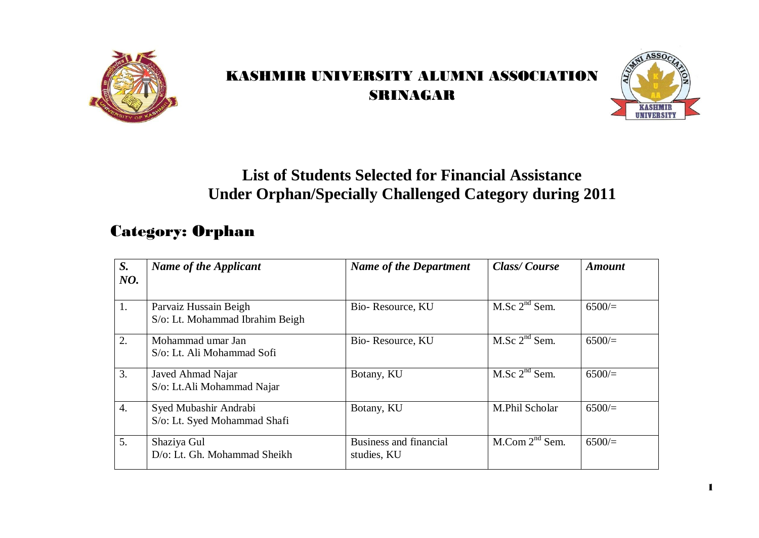

## KASHMIR UNIVERSITY ALUMNI ASSOCIATION SRINAGAR



## **List of Students Selected for Financial Assistance Under Orphan/Specially Challenged Category during 2011**

## Category: Orphan

| S.<br>NO.        | <b>Name of the Applicant</b>                             | <b>Name of the Department</b>         | <b>Class/Course</b>           | <b>Amount</b> |
|------------------|----------------------------------------------------------|---------------------------------------|-------------------------------|---------------|
| 1.               | Parvaiz Hussain Beigh<br>S/o: Lt. Mohammad Ibrahim Beigh | Bio-Resource, KU                      | M.Sc 2 <sup>nd</sup> Sem.     | 6500/         |
| 2.               | Mohammad umar Jan<br>S/o: Lt. Ali Mohammad Sofi          | Bio-Resource, KU                      | M.Sc 2 <sup>nd</sup> Sem.     | 6500/         |
| 3.               | Javed Ahmad Najar<br>S/o: Lt.Ali Mohammad Najar          | Botany, KU                            | M.Sc 2 <sup>nd</sup> Sem.     | 6500/         |
| $\overline{4}$ . | Syed Mubashir Andrabi<br>S/o: Lt. Syed Mohammad Shafi    | Botany, KU                            | M.Phil Scholar                | 6500/         |
| 5.               | Shaziya Gul<br>D/o: Lt. Gh. Mohammad Sheikh              | Business and financial<br>studies, KU | $M_{\cdot}$ Com $2^{nd}$ Sem. | 6500/         |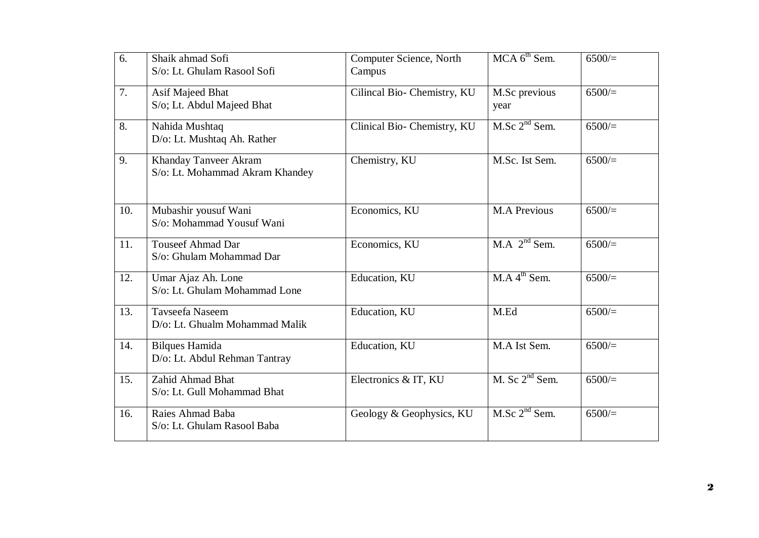| 6.  | Shaik ahmad Sofi<br>S/o: Lt. Ghulam Rasool Sofi          | Computer Science, North<br>Campus | $MCA$ 6 <sup>th</sup> Sem. | 6500/ |
|-----|----------------------------------------------------------|-----------------------------------|----------------------------|-------|
| 7.  | Asif Majeed Bhat<br>S/o; Lt. Abdul Majeed Bhat           | Cilincal Bio- Chemistry, KU       | M.Sc previous<br>year      | 6500/ |
| 8.  | Nahida Mushtaq<br>D/o: Lt. Mushtaq Ah. Rather            | Clinical Bio- Chemistry, KU       | M.Sc 2 <sup>nd</sup> Sem.  | 6500/ |
| 9.  | Khanday Tanveer Akram<br>S/o: Lt. Mohammad Akram Khandey | Chemistry, KU                     | M.Sc. Ist Sem.             | 6500/ |
| 10. | Mubashir yousuf Wani<br>S/o: Mohammad Yousuf Wani        | Economics, KU                     | <b>M.A Previous</b>        | 6500/ |
| 11. | <b>Touseef Ahmad Dar</b><br>S/o: Ghulam Mohammad Dar     | Economics, KU                     | $M.A$ $2nd$ Sem.           | 6500/ |
| 12. | Umar Ajaz Ah. Lone<br>S/o: Lt. Ghulam Mohammad Lone      | Education, KU                     | M.A.4 <sup>th</sup> Sem.   | 6500/ |
| 13. | Tavseefa Naseem<br>D/o: Lt. Ghualm Mohammad Malik        | Education, KU                     | M.Ed                       | 6500/ |
| 14. | <b>Bilques Hamida</b><br>D/o: Lt. Abdul Rehman Tantray   | Education, KU                     | M.A Ist Sem.               | 6500/ |
| 15. | Zahid Ahmad Bhat<br>S/o: Lt. Gull Mohammad Bhat          | Electronics & IT, KU              | M. Sc $2nd$ Sem.           | 6500/ |
| 16. | Raies Ahmad Baba<br>S/o: Lt. Ghulam Rasool Baba          | Geology & Geophysics, KU          | M.Sc 2 <sup>nd</sup> Sem.  | 6500/ |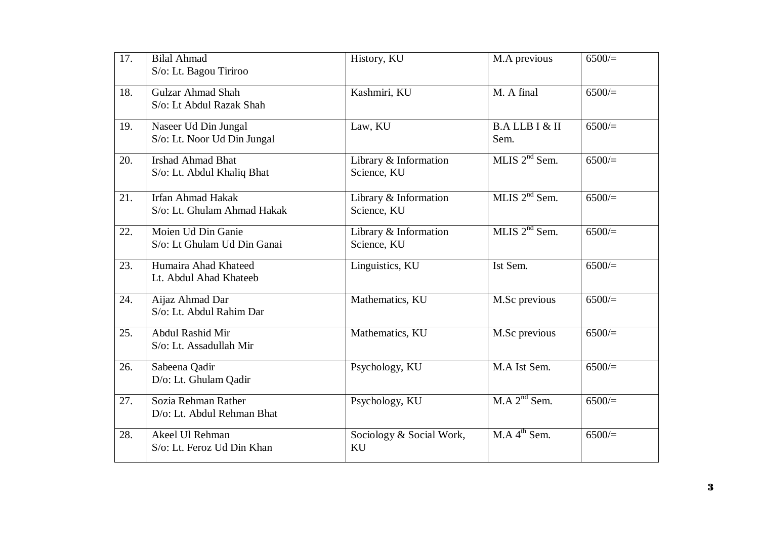| 17. | <b>Bilal Ahmad</b><br>S/o: Lt. Bagou Tiriroo            | History, KU                          | M.A previous                  | 6500/    |
|-----|---------------------------------------------------------|--------------------------------------|-------------------------------|----------|
| 18. | <b>Gulzar Ahmad Shah</b><br>S/o: Lt Abdul Razak Shah    | Kashmiri, KU                         | M. A final                    | 6500/    |
| 19. | Naseer Ud Din Jungal<br>S/o: Lt. Noor Ud Din Jungal     | Law, KU                              | <b>B.ALLBI&amp;II</b><br>Sem. | 6500/    |
| 20. | <b>Irshad Ahmad Bhat</b><br>S/o: Lt. Abdul Khaliq Bhat  | Library & Information<br>Science, KU | MLIS 2 <sup>nd</sup> Sem.     | 6500/    |
| 21. | <b>Irfan Ahmad Hakak</b><br>S/o: Lt. Ghulam Ahmad Hakak | Library & Information<br>Science, KU | MLIS $2nd$ Sem.               | $6500/=$ |
| 22. | Moien Ud Din Ganie<br>S/o: Lt Ghulam Ud Din Ganai       | Library & Information<br>Science, KU | MLIS $2nd$ Sem.               | 6500/    |
| 23. | Humaira Ahad Khateed<br>Lt. Abdul Ahad Khateeb          | Linguistics, KU                      | Ist Sem.                      | 6500/    |
| 24. | Aijaz Ahmad Dar<br>S/o: Lt. Abdul Rahim Dar             | Mathematics, KU                      | M.Sc previous                 | 6500/    |
| 25. | Abdul Rashid Mir<br>S/o: Lt. Assadullah Mir             | Mathematics, KU                      | M.Sc previous                 | 6500/    |
| 26. | Sabeena Qadir<br>D/o: Lt. Ghulam Qadir                  | Psychology, KU                       | M.A Ist Sem.                  | 6500/    |
| 27. | Sozia Rehman Rather<br>D/o: Lt. Abdul Rehman Bhat       | Psychology, KU                       | M.A.2 <sup>nd</sup> Sem.      | 6500/    |
| 28. | Akeel Ul Rehman<br>S/o: Lt. Feroz Ud Din Khan           | Sociology & Social Work,<br>KU       | MA 4 <sup>th</sup> Sem.       | 6500/    |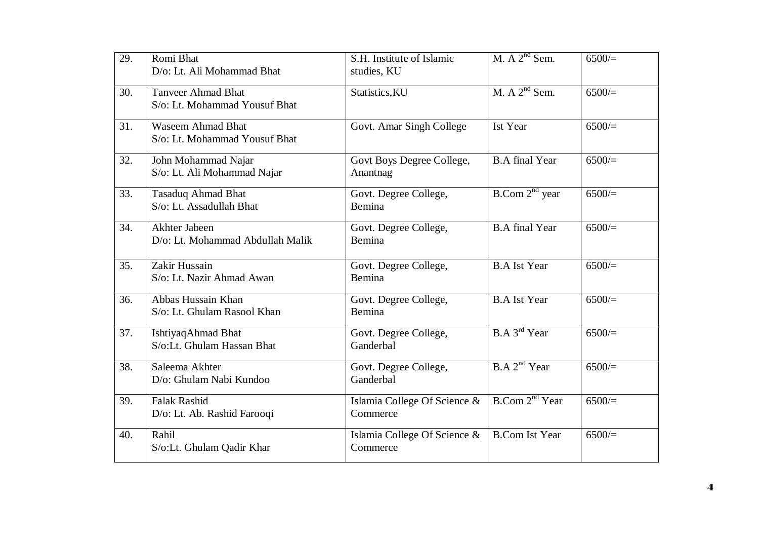| 29. | Romi Bhat<br>D/o: Lt. Ali Mohammad Bhat                    | S.H. Institute of Islamic<br>studies, KU | M. $A$ $2nd$ Sem.             | 6500/    |
|-----|------------------------------------------------------------|------------------------------------------|-------------------------------|----------|
| 30. | <b>Tanveer Ahmad Bhat</b><br>S/o: Lt. Mohammad Yousuf Bhat | Statistics, KU                           | M. A $2nd$ Sem.               | 6500/    |
| 31. | <b>Waseem Ahmad Bhat</b><br>S/o: Lt. Mohammad Yousuf Bhat  | Govt. Amar Singh College                 | Ist Year                      | 6500/    |
| 32. | John Mohammad Najar<br>S/o: Lt. Ali Mohammad Najar         | Govt Boys Degree College,<br>Anantnag    | <b>B.A</b> final Year         | 6500/    |
| 33. | <b>Tasaduq Ahmad Bhat</b><br>S/o: Lt. Assadullah Bhat      | Govt. Degree College,<br>Bemina          | B. Com 2 <sup>nd</sup> year   | 6500/    |
| 34. | Akhter Jabeen<br>D/o: Lt. Mohammad Abdullah Malik          | Govt. Degree College,<br>Bemina          | <b>B.A</b> final Year         | 6500/    |
| 35. | Zakir Hussain<br>S/o: Lt. Nazir Ahmad Awan                 | Govt. Degree College,<br>Bemina          | <b>B.A Ist Year</b>           | $6500 =$ |
| 36. | Abbas Hussain Khan<br>S/o: Lt. Ghulam Rasool Khan          | Govt. Degree College,<br>Bemina          | <b>B.A Ist Year</b>           | 6500/    |
| 37. | IshtiyaqAhmad Bhat<br>S/o:Lt. Ghulam Hassan Bhat           | Govt. Degree College,<br>Ganderbal       | B.A.3 <sup>rd</sup> Year      | 6500/    |
| 38. | Saleema Akhter<br>D/o: Ghulam Nabi Kundoo                  | Govt. Degree College,<br>Ganderbal       | B.A 2 <sup>nd</sup> Year      | 6500/    |
| 39. | <b>Falak Rashid</b><br>D/o: Lt. Ab. Rashid Farooqi         | Islamia College Of Science &<br>Commerce | $B_{\cdot}$ Com $2^{nd}$ Year | 6500/    |
| 40. | Rahil<br>S/o:Lt. Ghulam Qadir Khar                         | Islamia College Of Science &<br>Commerce | <b>B.Com Ist Year</b>         | 6500/    |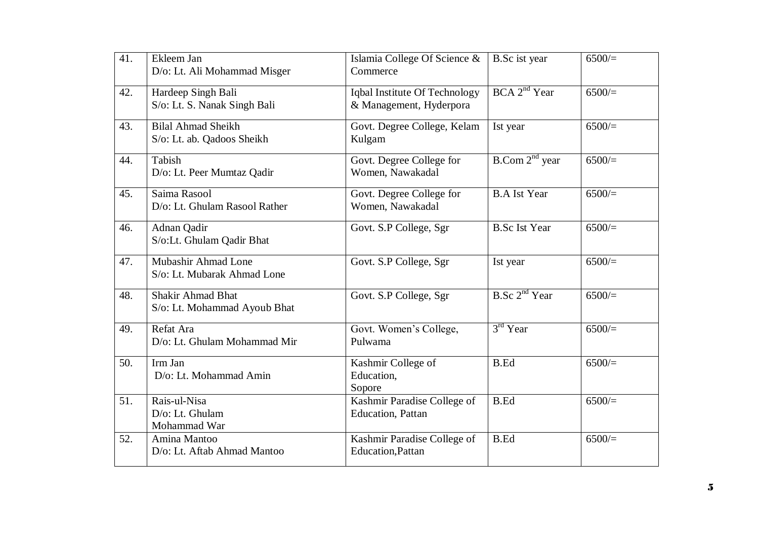| 41. | Ekleem Jan<br>D/o: Lt. Ali Mohammad Misger               | Islamia College Of Science &<br>Commerce                 | <b>B.Sc</b> ist year        | 6500/    |
|-----|----------------------------------------------------------|----------------------------------------------------------|-----------------------------|----------|
| 42. | Hardeep Singh Bali<br>S/o: Lt. S. Nanak Singh Bali       | Iqbal Institute Of Technology<br>& Management, Hyderpora | BCA 2 <sup>nd</sup> Year    | $6500 =$ |
| 43. | <b>Bilal Ahmad Sheikh</b><br>S/o: Lt. ab. Qadoos Sheikh  | Govt. Degree College, Kelam<br>Kulgam                    | Ist year                    | 6500/    |
| 44. | Tabish<br>D/o: Lt. Peer Mumtaz Qadir                     | Govt. Degree College for<br>Women, Nawakadal             | B. Com 2 <sup>nd</sup> year | 6500/    |
| 45. | Saima Rasool<br>D/o: Lt. Ghulam Rasool Rather            | Govt. Degree College for<br>Women, Nawakadal             | <b>B.A Ist Year</b>         | 6500/    |
| 46. | Adnan Qadir<br>S/o:Lt. Ghulam Qadir Bhat                 | Govt. S.P College, Sgr                                   | <b>B.Sc Ist Year</b>        | 6500/    |
| 47. | Mubashir Ahmad Lone<br>S/o: Lt. Mubarak Ahmad Lone       | Govt. S.P College, Sgr                                   | Ist year                    | 6500/    |
| 48. | <b>Shakir Ahmad Bhat</b><br>S/o: Lt. Mohammad Ayoub Bhat | Govt. S.P College, Sgr                                   | $B.$ Sc $2nd$ Year          | 6500/    |
| 49. | Refat Ara<br>D/o: Lt. Ghulam Mohammad Mir                | Govt. Women's College,<br>Pulwama                        | $3rd$ Year                  | 6500/    |
| 50. | Irm Jan<br>D/o: Lt. Mohammad Amin                        | Kashmir College of<br>Education,<br>Sopore               | <b>B.Ed</b>                 | 6500/    |
| 51. | Rais-ul-Nisa<br>D/o: Lt. Ghulam<br>Mohammad War          | Kashmir Paradise College of<br>Education, Pattan         | <b>B.Ed</b>                 | 6500/    |
| 52. | Amina Mantoo<br>D/o: Lt. Aftab Ahmad Mantoo              | Kashmir Paradise College of<br><b>Education, Pattan</b>  | <b>B.Ed</b>                 | 6500/    |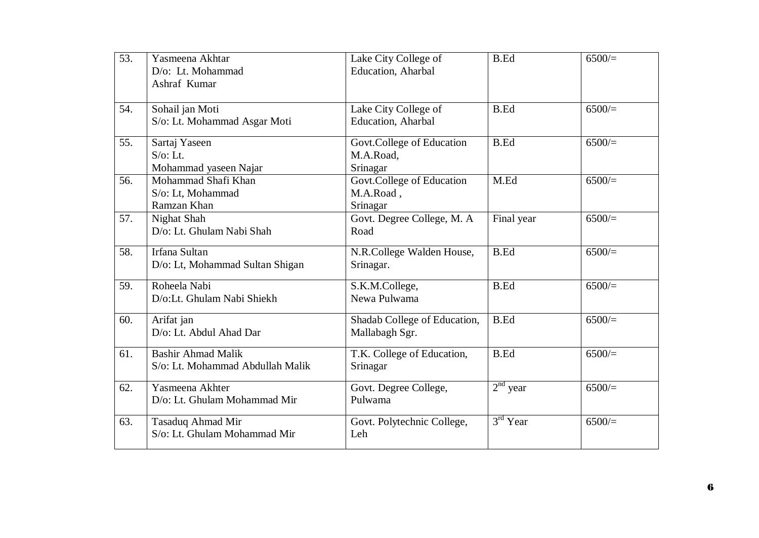| 53. | Yasmeena Akhtar<br>D/o: Lt. Mohammad<br>Ashraf Kumar          | Lake City College of<br><b>Education</b> , Aharbal | <b>B.Ed</b> | 6500/ |
|-----|---------------------------------------------------------------|----------------------------------------------------|-------------|-------|
| 54. | Sohail jan Moti<br>S/o: Lt. Mohammad Asgar Moti               | Lake City College of<br>Education, Aharbal         | <b>B.Ed</b> | 6500/ |
| 55. | Sartaj Yaseen<br>$S$ /o: Lt.<br>Mohammad yaseen Najar         | Govt.College of Education<br>M.A.Road,<br>Srinagar | <b>B.Ed</b> | 6500/ |
| 56. | Mohammad Shafi Khan<br>S/o: Lt, Mohammad<br>Ramzan Khan       | Govt.College of Education<br>M.A.Road,<br>Srinagar | M.Ed        | 6500/ |
| 57. | Nighat Shah<br>D/o: Lt. Ghulam Nabi Shah                      | Govt. Degree College, M. A<br>Road                 | Final year  | 6500/ |
| 58. | Irfana Sultan<br>D/o: Lt, Mohammad Sultan Shigan              | N.R.College Walden House,<br>Srinagar.             | <b>B.Ed</b> | 6500/ |
| 59. | Roheela Nabi<br>D/o:Lt. Ghulam Nabi Shiekh                    | S.K.M.College,<br>Newa Pulwama                     | <b>B.Ed</b> | 6500/ |
| 60. | Arifat jan<br>D/o: Lt. Abdul Ahad Dar                         | Shadab College of Education,<br>Mallabagh Sgr.     | <b>B.Ed</b> | 6500/ |
| 61. | <b>Bashir Ahmad Malik</b><br>S/o: Lt. Mohammad Abdullah Malik | T.K. College of Education,<br>Srinagar             | <b>B.Ed</b> | 6500/ |
| 62. | Yasmeena Akhter<br>D/o: Lt. Ghulam Mohammad Mir               | Govt. Degree College,<br>Pulwama                   | $2nd$ year  | 6500/ |
| 63. | Tasaduq Ahmad Mir<br>S/o: Lt. Ghulam Mohammad Mir             | Govt. Polytechnic College,<br>Leh                  | $3rd$ Year  | 6500/ |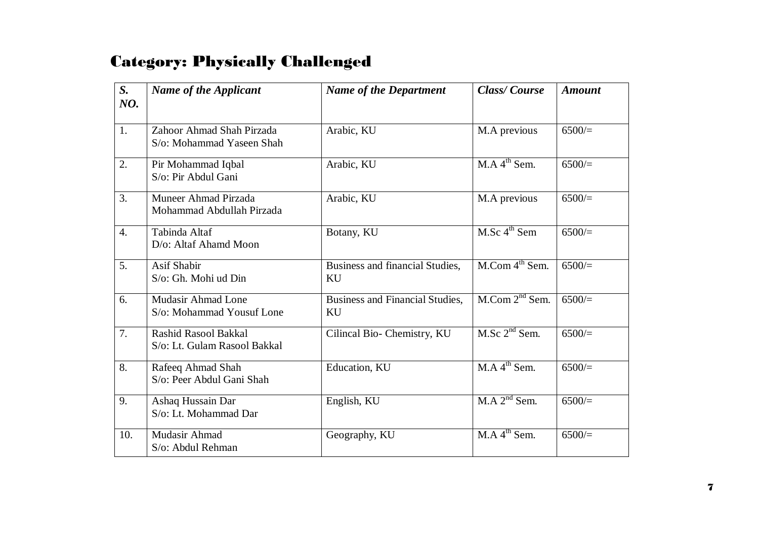## Category: Physically Challenged

| S.<br>NO.        | <b>Name of the Applicant</b>                           | <b>Name of the Department</b>                | <b>Class/Course</b>                  | <b>Amount</b> |
|------------------|--------------------------------------------------------|----------------------------------------------|--------------------------------------|---------------|
|                  |                                                        |                                              |                                      |               |
| 1.               | Zahoor Ahmad Shah Pirzada<br>S/o: Mohammad Yaseen Shah | Arabic, KU                                   | M.A previous                         | 6500/         |
| 2.               | Pir Mohammad Iqbal<br>S/o: Pir Abdul Gani              | Arabic, KU                                   | M.A 4 <sup>th</sup> Sem.             | 6500/         |
| 3.               | Muneer Ahmad Pirzada<br>Mohammad Abdullah Pirzada      | Arabic, KU                                   | M.A previous                         | 6500/         |
| $\overline{4}$ . | Tabinda Altaf<br>D/o: Altaf Ahamd Moon                 | Botany, KU                                   | M.Sc 4 <sup>th</sup> Sem             | 6500/         |
| 5.               | <b>Asif Shabir</b><br>S/o: Gh. Mohi ud Din             | Business and financial Studies,<br>KU        | $M_{\cdot}$ Com 4 <sup>th</sup> Sem. | 6500/         |
| 6.               | <b>Mudasir Ahmad Lone</b><br>S/o: Mohammad Yousuf Lone | <b>Business and Financial Studies,</b><br>KU | $M_{\cdot}$ Com $2^{nd}$ Sem.        | 6500/         |
| 7.               | Rashid Rasool Bakkal<br>S/o: Lt. Gulam Rasool Bakkal   | Cilincal Bio- Chemistry, KU                  | M.Sc 2 <sup>nd</sup> Sem.            | 6500/         |
| 8.               | Rafeeq Ahmad Shah<br>S/o: Peer Abdul Gani Shah         | Education, KU                                | M.A.4 <sup>th</sup> Sem.             | 6500/         |
| 9.               | Ashaq Hussain Dar<br>S/o: Lt. Mohammad Dar             | English, KU                                  | $M.A$ $2nd$ Sem.                     | 6500/         |
| 10.              | Mudasir Ahmad<br>S/o: Abdul Rehman                     | Geography, KU                                | M.A 4 <sup>th</sup> Sem.             | 6500/         |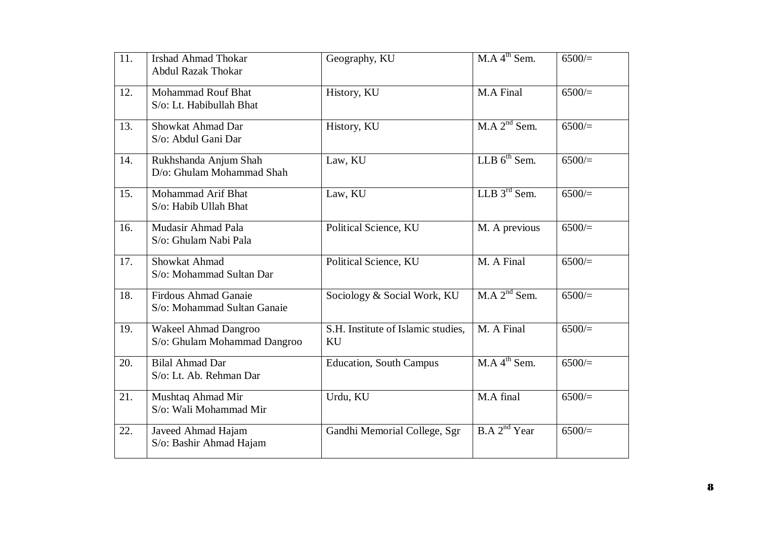| 11. | <b>Irshad Ahmad Thokar</b><br><b>Abdul Razak Thokar</b>    | Geography, KU                            | M.A 4 <sup>th</sup> Sem. | 6500/ |
|-----|------------------------------------------------------------|------------------------------------------|--------------------------|-------|
| 12. | <b>Mohammad Rouf Bhat</b><br>S/o: Lt. Habibullah Bhat      | History, KU                              | M.A Final                | 6500/ |
| 13. | Showkat Ahmad Dar<br>S/o: Abdul Gani Dar                   | History, KU                              | $M.A$ $2nd$ Sem.         | 6500/ |
| 14. | Rukhshanda Anjum Shah<br>D/o: Ghulam Mohammad Shah         | Law, KU                                  | LLB $6^{th}$ Sem.        | 6500/ |
| 15. | Mohammad Arif Bhat<br>S/o: Habib Ullah Bhat                | Law, KU                                  | LLB $3^{\text{rd}}$ Sem. | 6500/ |
| 16. | Mudasir Ahmad Pala<br>S/o: Ghulam Nabi Pala                | Political Science, KU                    | M. A previous            | 6500/ |
| 17. | Showkat Ahmad<br>S/o: Mohammad Sultan Dar                  | Political Science, KU                    | M. A Final               | 6500/ |
| 18. | <b>Firdous Ahmad Ganaie</b><br>S/o: Mohammad Sultan Ganaie | Sociology & Social Work, KU              | $M.A$ $2nd$ Sem.         | 6500/ |
| 19. | Wakeel Ahmad Dangroo<br>S/o: Ghulam Mohammad Dangroo       | S.H. Institute of Islamic studies,<br>KU | M. A Final               | 6500/ |
| 20. | <b>Bilal Ahmad Dar</b><br>S/o: Lt. Ab. Rehman Dar          | <b>Education, South Campus</b>           | M.A 4 <sup>th</sup> Sem. | 6500/ |
| 21. | Mushtaq Ahmad Mir<br>S/o: Wali Mohammad Mir                | Urdu, KU                                 | M.A final                | 6500/ |
| 22. | Javeed Ahmad Hajam<br>S/o: Bashir Ahmad Hajam              | Gandhi Memorial College, Sgr             | B.A 2 <sup>nd</sup> Year | 6500/ |